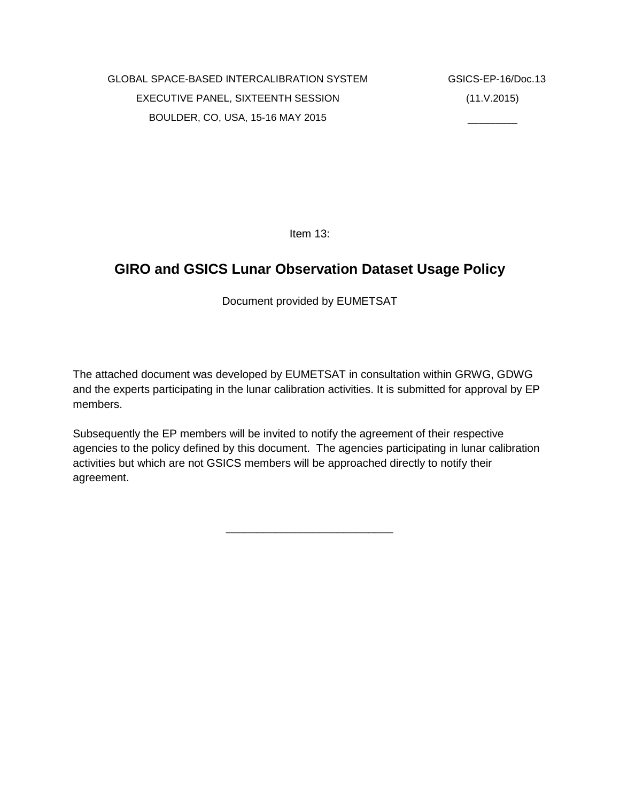\_\_\_\_\_\_\_\_\_

Item 13:

# **GIRO and GSICS Lunar Observation Dataset Usage Policy**

Document provided by EUMETSAT

The attached document was developed by EUMETSAT in consultation within GRWG, GDWG and the experts participating in the lunar calibration activities. It is submitted for approval by EP members.

Subsequently the EP members will be invited to notify the agreement of their respective agencies to the policy defined by this document. The agencies participating in lunar calibration activities but which are not GSICS members will be approached directly to notify their agreement.

\_\_\_\_\_\_\_\_\_\_\_\_\_\_\_\_\_\_\_\_\_\_\_\_\_\_\_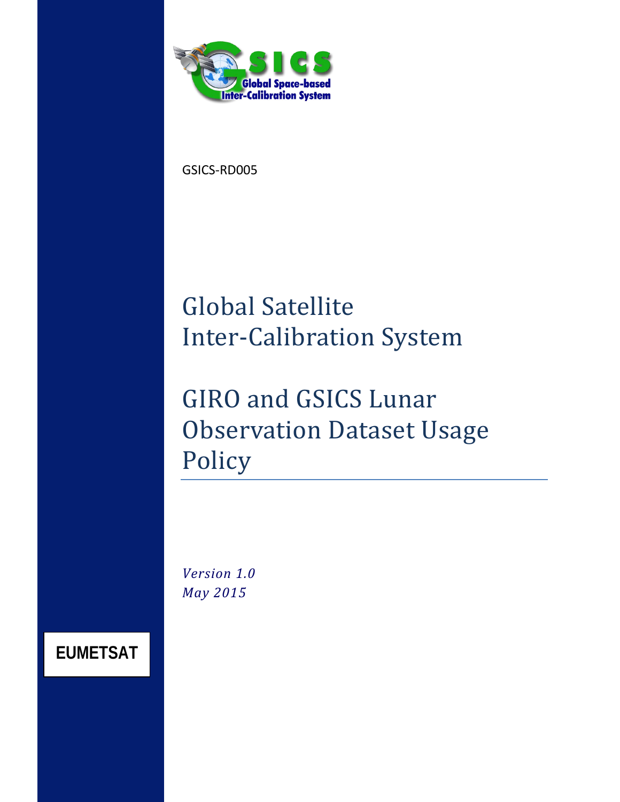<span id="page-2-0"></span>

GSICS-RD005

# Global Satellite Inter-Calibration System

# GIRO and GSICS Lunar Observation Dataset Usage Policy

*Version 1.0 May 2015*

**EUMETSAT**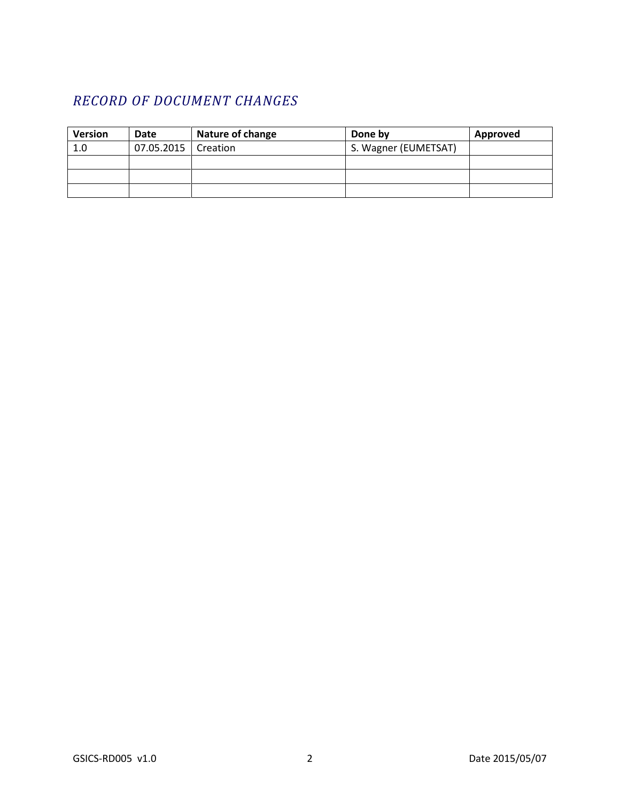# *RECORD OF DOCUMENT CHANGES*

| <b>Version</b> | <b>Date</b>           | <b>Nature of change</b> | Done by              | Approved |
|----------------|-----------------------|-------------------------|----------------------|----------|
| 1.0            | 07.05.2015   Creation |                         | S. Wagner (EUMETSAT) |          |
|                |                       |                         |                      |          |
|                |                       |                         |                      |          |
|                |                       |                         |                      |          |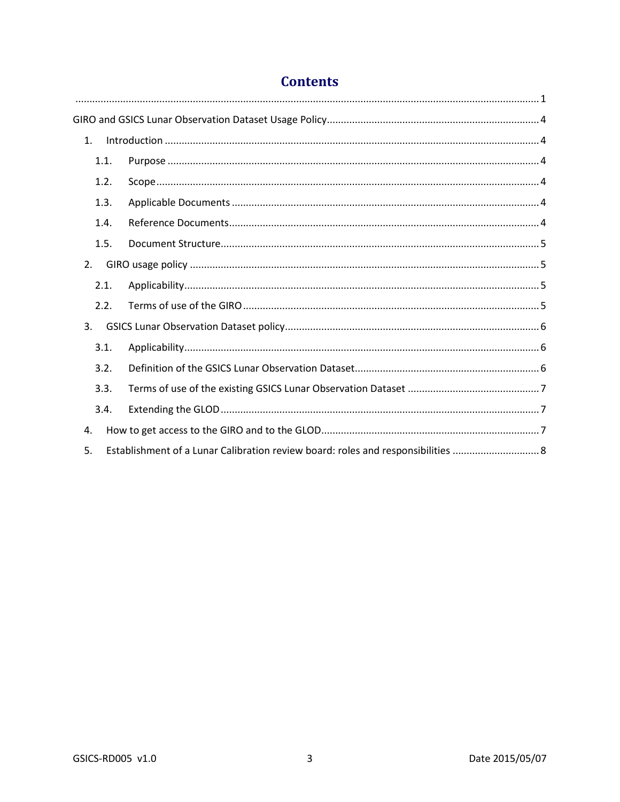| 1.                                                                                     |  |  |  |  |
|----------------------------------------------------------------------------------------|--|--|--|--|
| 1.1.                                                                                   |  |  |  |  |
| 1.2.                                                                                   |  |  |  |  |
| 1.3.                                                                                   |  |  |  |  |
| 1.4.                                                                                   |  |  |  |  |
| 1.5.                                                                                   |  |  |  |  |
| 2.                                                                                     |  |  |  |  |
| 2.1.                                                                                   |  |  |  |  |
| 2.2.                                                                                   |  |  |  |  |
| 3.                                                                                     |  |  |  |  |
| 3.1.                                                                                   |  |  |  |  |
| 3.2.                                                                                   |  |  |  |  |
| 3.3.                                                                                   |  |  |  |  |
| 3.4.                                                                                   |  |  |  |  |
| 4.                                                                                     |  |  |  |  |
| Establishment of a Lunar Calibration review board: roles and responsibilities  8<br>5. |  |  |  |  |

# **Contents**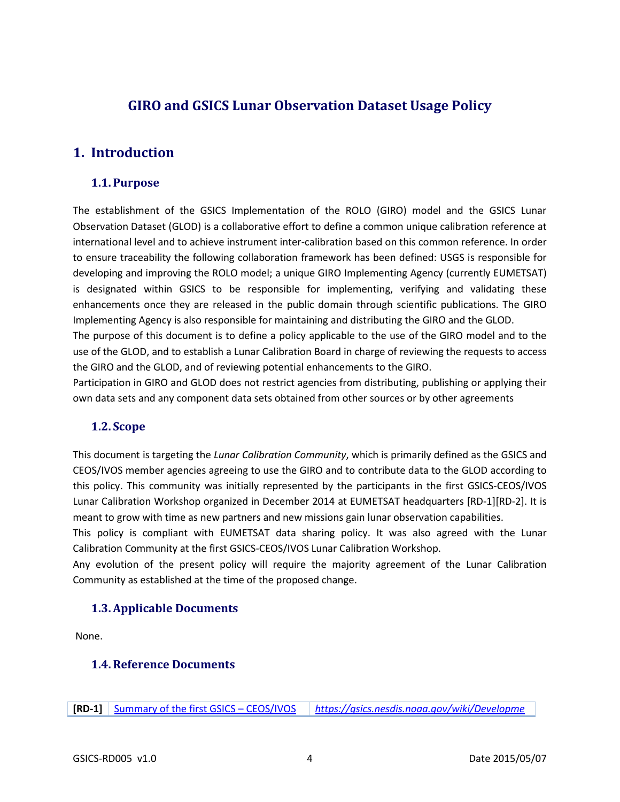## <span id="page-5-0"></span>**GIRO and GSICS Lunar Observation Dataset Usage Policy**

## <span id="page-5-1"></span>**1. Introduction**

#### <span id="page-5-2"></span>**1.1. Purpose**

The establishment of the GSICS Implementation of the ROLO (GIRO) model and the GSICS Lunar Observation Dataset (GLOD) is a collaborative effort to define a common unique calibration reference at international level and to achieve instrument inter-calibration based on this common reference. In order to ensure traceability the following collaboration framework has been defined: USGS is responsible for developing and improving the ROLO model; a unique GIRO Implementing Agency (currently EUMETSAT) is designated within GSICS to be responsible for implementing, verifying and validating these enhancements once they are released in the public domain through scientific publications. The GIRO Implementing Agency is also responsible for maintaining and distributing the GIRO and the GLOD.

The purpose of this document is to define a policy applicable to the use of the GIRO model and to the use of the GLOD, and to establish a Lunar Calibration Board in charge of reviewing the requests to access the GIRO and the GLOD, and of reviewing potential enhancements to the GIRO.

Participation in GIRO and GLOD does not restrict agencies from distributing, publishing or applying their own data sets and any component data sets obtained from other sources or by other agreements

#### <span id="page-5-3"></span>**1.2. Scope**

This document is targeting the *Lunar Calibration Community*, which is primarily defined as the GSICS and CEOS/IVOS member agencies agreeing to use the GIRO and to contribute data to the GLOD according to this policy. This community was initially represented by the participants in the first GSICS-CEOS/IVOS Lunar Calibration Workshop organized in December 2014 at EUMETSAT headquarters [\[RD-1\]\[RD-2\].](#page-5-6) It is meant to grow with time as new partners and new missions gain lunar observation capabilities.

This policy is compliant with EUMETSAT data sharing policy. It was also agreed with the Lunar Calibration Community at the first GSICS-CEOS/IVOS Lunar Calibration Workshop.

Any evolution of the present policy will require the majority agreement of the Lunar Calibration Community as established at the time of the proposed change.

#### <span id="page-5-4"></span>**1.3.Applicable Documents**

<span id="page-5-5"></span>None.

#### **1.4.Reference Documents**

<span id="page-5-6"></span>**[RD-1]** [Summary of the first GSICS –](https://gsics.nesdis.noaa.gov/pub/Development/LunarCalibrationWorkshop/SummaryoftheLunarCalibrationWorkshop.pdf) CEOS/IVOS *[https://gsics.nesdis.noaa.gov/wiki/Developme](https://gsics.nesdis.noaa.gov/wiki/Development/LunarCalibrationWorkshop)*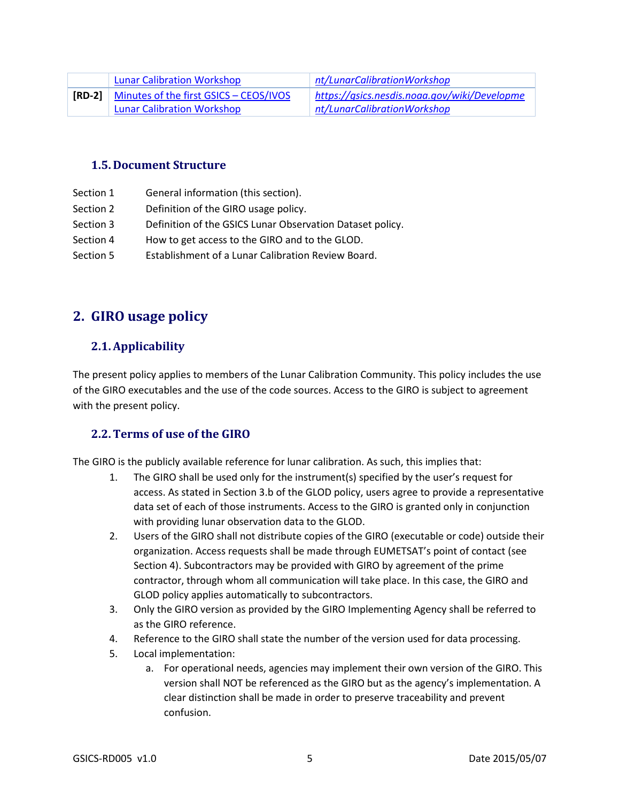| <b>Lunar Calibration Workshop</b>                    | nt/LunarCalibrationWorkshop                  |
|------------------------------------------------------|----------------------------------------------|
| <b>[RD-2]</b> Minutes of the first GSICS - CEOS/IVOS | https://qsics.nesdis.noaa.gov/wiki/Developme |
| <b>Lunar Calibration Workshop</b>                    | nt/LunarCalibrationWorkshop                  |

#### <span id="page-6-0"></span>**1.5. Document Structure**

- Section 1 General information (this section).
- Section 2 Definition of the GIRO usage policy.
- Section 3 Definition of the GSICS Lunar Observation Dataset policy.
- Section 4 How to get access to the GIRO and to the GLOD.
- Section 5 Establishment of a Lunar Calibration Review Board.

## <span id="page-6-1"></span>**2. GIRO usage policy**

### <span id="page-6-2"></span>**2.1.Applicability**

The present policy applies to members of the Lunar Calibration Community. This policy includes the use of the GIRO executables and the use of the code sources. Access to the GIRO is subject to agreement with the present policy.

#### <span id="page-6-3"></span>**2.2.Terms of use of the GIRO**

The GIRO is the publicly available reference for lunar calibration. As such, this implies that:

- 1. The GIRO shall be used only for the instrument(s) specified by the user's request for access. As stated in Section [3.b](#page-7-2) of the GLOD policy, users agree to provide a representative data set of each of those instruments. Access to the GIRO is granted only in conjunction with providing lunar observation data to the GLOD.
- 2. Users of the GIRO shall not distribute copies of the GIRO (executable or code) outside their organization. Access requests shall be made through EUMETSAT's point of contact (see Section 4). Subcontractors may be provided with GIRO by agreement of the prime contractor, through whom all communication will take place. In this case, the GIRO and GLOD policy applies automatically to subcontractors.
- 3. Only the GIRO version as provided by the GIRO Implementing Agency shall be referred to as the GIRO reference.
- 4. Reference to the GIRO shall state the number of the version used for data processing.
- 5. Local implementation:
	- a. For operational needs, agencies may implement their own version of the GIRO. This version shall NOT be referenced as the GIRO but as the agency's implementation. A clear distinction shall be made in order to preserve traceability and prevent confusion.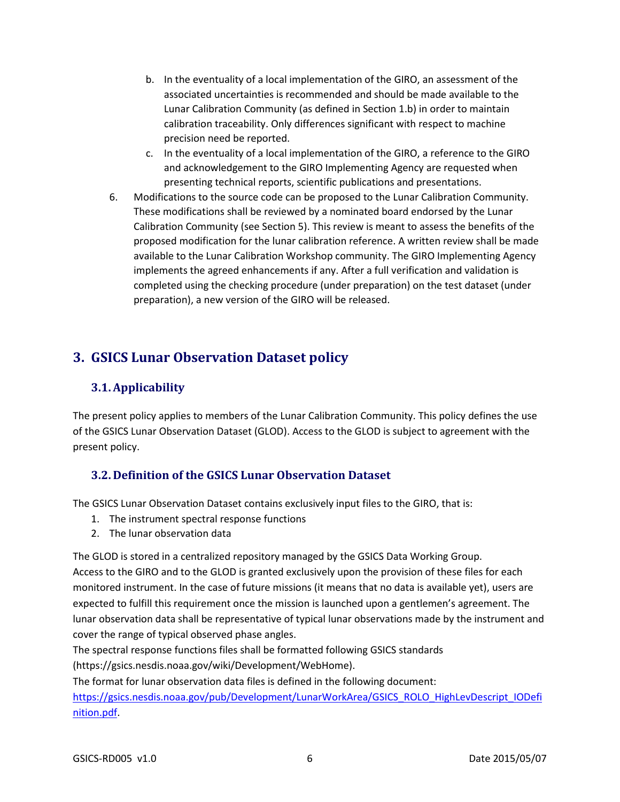- b. In the eventuality of a local implementation of the GIRO, an assessment of the associated uncertainties is recommended and should be made available to the Lunar Calibration Community (as defined in Section [1.b\)](#page-5-3) in order to maintain calibration traceability. Only differences significant with respect to machine precision need be reported.
- c. In the eventuality of a local implementation of the GIRO, a reference to the GIRO and acknowledgement to the GIRO Implementing Agency are requested when presenting technical reports, scientific publications and presentations.
- 6. Modifications to the source code can be proposed to the Lunar Calibration Community. These modifications shall be reviewed by a nominated board endorsed by the Lunar Calibration Community (see Sectio[n 5\)](#page-9-0). This review is meant to assess the benefits of the proposed modification for the lunar calibration reference. A written review shall be made available to the Lunar Calibration Workshop community. The GIRO Implementing Agency implements the agreed enhancements if any. After a full verification and validation is completed using the checking procedure (under preparation) on the test dataset (under preparation), a new version of the GIRO will be released.

# <span id="page-7-0"></span>**3. GSICS Lunar Observation Dataset policy**

## <span id="page-7-1"></span>**3.1.Applicability**

The present policy applies to members of the Lunar Calibration Community. This policy defines the use of the GSICS Lunar Observation Dataset (GLOD). Access to the GLOD is subject to agreement with the present policy.

### <span id="page-7-2"></span>**3.2. Definition of the GSICS Lunar Observation Dataset**

The GSICS Lunar Observation Dataset contains exclusively input files to the GIRO, that is:

- 1. The instrument spectral response functions
- 2. The lunar observation data

The GLOD is stored in a centralized repository managed by the GSICS Data Working Group. Access to the GIRO and to the GLOD is granted exclusively upon the provision of these files for each monitored instrument. In the case of future missions (it means that no data is available yet), users are expected to fulfill this requirement once the mission is launched upon a gentlemen's agreement. The lunar observation data shall be representative of typical lunar observations made by the instrument and cover the range of typical observed phase angles.

The spectral response functions files shall be formatted following GSICS standards (https://gsics.nesdis.noaa.gov/wiki/Development/WebHome).

The format for lunar observation data files is defined in the following document:

[https://gsics.nesdis.noaa.gov/pub/Development/LunarWorkArea/GSICS\\_ROLO\\_HighLevDescript\\_IODefi](https://gsics.nesdis.noaa.gov/pub/Development/LunarWorkArea/GSICS_ROLO_HighLevDescript_IODefinition.pdf) [nition.pdf.](https://gsics.nesdis.noaa.gov/pub/Development/LunarWorkArea/GSICS_ROLO_HighLevDescript_IODefinition.pdf)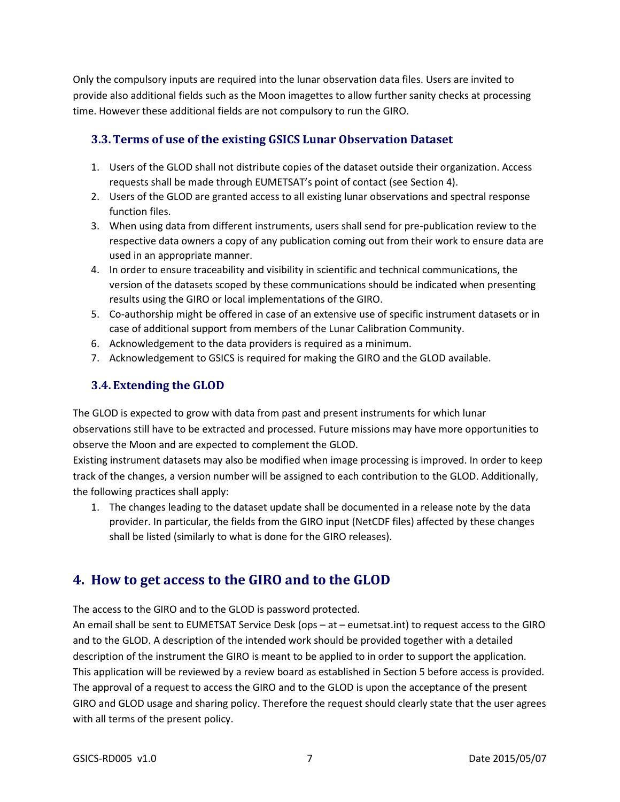Only the compulsory inputs are required into the lunar observation data files. Users are invited to provide also additional fields such as the Moon imagettes to allow further sanity checks at processing time. However these additional fields are not compulsory to run the GIRO.

### <span id="page-8-0"></span>**3.3.Terms of use of the existing GSICS Lunar Observation Dataset**

- 1. Users of the GLOD shall not distribute copies of the dataset outside their organization. Access requests shall be made through EUMETSAT's point of contact (see Section 4).
- 2. Users of the GLOD are granted access to all existing lunar observations and spectral response function files.
- 3. When using data from different instruments, users shall send for pre-publication review to the respective data owners a copy of any publication coming out from their work to ensure data are used in an appropriate manner.
- 4. In order to ensure traceability and visibility in scientific and technical communications, the version of the datasets scoped by these communications should be indicated when presenting results using the GIRO or local implementations of the GIRO.
- 5. Co-authorship might be offered in case of an extensive use of specific instrument datasets or in case of additional support from members of the Lunar Calibration Community.
- 6. Acknowledgement to the data providers is required as a minimum.
- 7. Acknowledgement to GSICS is required for making the GIRO and the GLOD available.

## <span id="page-8-1"></span>**3.4. Extending the GLOD**

The GLOD is expected to grow with data from past and present instruments for which lunar observations still have to be extracted and processed. Future missions may have more opportunities to observe the Moon and are expected to complement the GLOD.

Existing instrument datasets may also be modified when image processing is improved. In order to keep track of the changes, a version number will be assigned to each contribution to the GLOD. Additionally, the following practices shall apply:

1. The changes leading to the dataset update shall be documented in a release note by the data provider. In particular, the fields from the GIRO input (NetCDF files) affected by these changes shall be listed (similarly to what is done for the GIRO releases).

## <span id="page-8-2"></span>**4. How to get access to the GIRO and to the GLOD**

The access to the GIRO and to the GLOD is password protected.

An email shall be sent to EUMETSAT Service Desk (ops – at – eumetsat.int) to request access to the GIRO and to the GLOD. A description of the intended work should be provided together with a detailed description of the instrument the GIRO is meant to be applied to in order to support the application. This application will be reviewed by a review board as established in Section [5](#page-9-0) before access is provided. The approval of a request to access the GIRO and to the GLOD is upon the acceptance of the present GIRO and GLOD usage and sharing policy. Therefore the request should clearly state that the user agrees with all terms of the present policy.